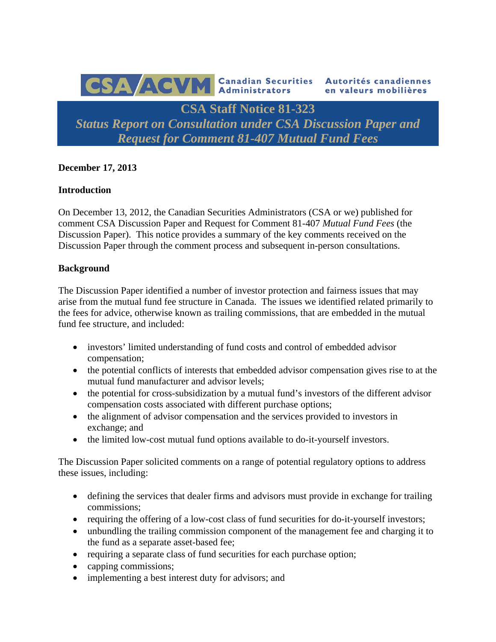

# **December 17, 2013**

#### **Introduction**

On December 13, 2012, the Canadian Securities Administrators (CSA or we) published for comment CSA Discussion Paper and Request for Comment 81-407 *Mutual Fund Fees* (the Discussion Paper). This notice provides a summary of the key comments received on the Discussion Paper through the comment process and subsequent in-person consultations.

#### **Background**

The Discussion Paper identified a number of investor protection and fairness issues that may arise from the mutual fund fee structure in Canada. The issues we identified related primarily to the fees for advice, otherwise known as trailing commissions, that are embedded in the mutual fund fee structure, and included:

- investors' limited understanding of fund costs and control of embedded advisor compensation;
- the potential conflicts of interests that embedded advisor compensation gives rise to at the mutual fund manufacturer and advisor levels;
- the potential for cross-subsidization by a mutual fund's investors of the different advisor compensation costs associated with different purchase options;
- the alignment of advisor compensation and the services provided to investors in exchange; and
- the limited low-cost mutual fund options available to do-it-yourself investors.

The Discussion Paper solicited comments on a range of potential regulatory options to address these issues, including:

- defining the services that dealer firms and advisors must provide in exchange for trailing commissions;
- requiring the offering of a low-cost class of fund securities for do-it-yourself investors;
- unbundling the trailing commission component of the management fee and charging it to the fund as a separate asset-based fee;
- requiring a separate class of fund securities for each purchase option;
- capping commissions;
- implementing a best interest duty for advisors; and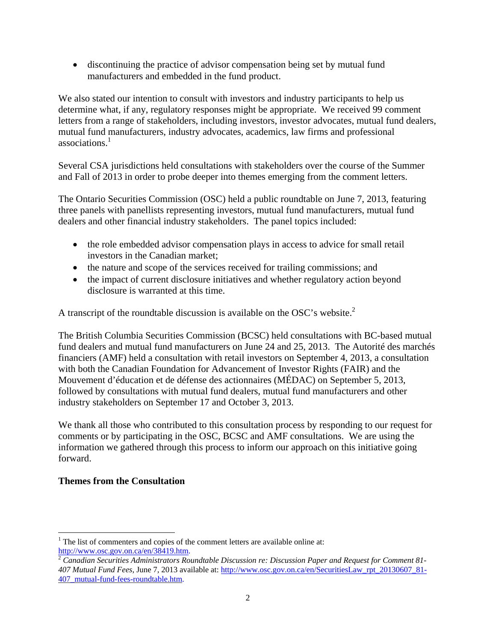discontinuing the practice of advisor compensation being set by mutual fund manufacturers and embedded in the fund product.

We also stated our intention to consult with investors and industry participants to help us determine what, if any, regulatory responses might be appropriate. We received 99 comment letters from a range of stakeholders, including investors, investor advocates, mutual fund dealers, mutual fund manufacturers, industry advocates, academics, law firms and professional associations.<sup>1</sup>

Several CSA jurisdictions held consultations with stakeholders over the course of the Summer and Fall of 2013 in order to probe deeper into themes emerging from the comment letters.

The Ontario Securities Commission (OSC) held a public roundtable on June 7, 2013, featuring three panels with panellists representing investors, mutual fund manufacturers, mutual fund dealers and other financial industry stakeholders. The panel topics included:

- the role embedded advisor compensation plays in access to advice for small retail investors in the Canadian market;
- the nature and scope of the services received for trailing commissions; and
- the impact of current disclosure initiatives and whether regulatory action beyond disclosure is warranted at this time.

A transcript of the roundtable discussion is available on the OSC's website.<sup>2</sup>

The British Columbia Securities Commission (BCSC) held consultations with BC-based mutual fund dealers and mutual fund manufacturers on June 24 and 25, 2013. The Autorité des marchés financiers (AMF) held a consultation with retail investors on September 4, 2013, a consultation with both the Canadian Foundation for Advancement of Investor Rights (FAIR) and the Mouvement d'éducation et de défense des actionnaires (MÉDAC) on September 5, 2013, followed by consultations with mutual fund dealers, mutual fund manufacturers and other industry stakeholders on September 17 and October 3, 2013.

We thank all those who contributed to this consultation process by responding to our request for comments or by participating in the OSC, BCSC and AMF consultations. We are using the information we gathered through this process to inform our approach on this initiative going forward.

# **Themes from the Consultation**

 $\overline{a}$  $<sup>1</sup>$  The list of commenters and copies of the comment letters are available online at:</sup> http://www.osc.gov.on.ca/en/38419.htm.

<sup>2</sup> *Canadian Securities Administrators Roundtable Discussion re: Discussion Paper and Request for Comment 81- 407 Mutual Fund Fees*, June 7, 2013 available at: http://www.osc.gov.on.ca/en/SecuritiesLaw\_rpt\_20130607\_81- 407\_mutual-fund-fees-roundtable.htm.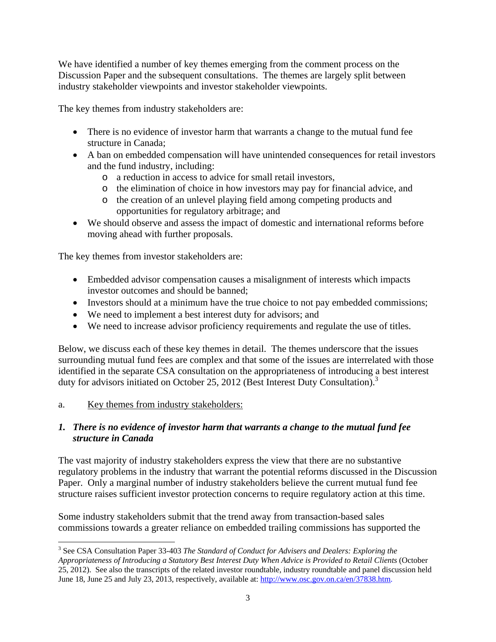We have identified a number of key themes emerging from the comment process on the Discussion Paper and the subsequent consultations. The themes are largely split between industry stakeholder viewpoints and investor stakeholder viewpoints.

The key themes from industry stakeholders are:

- There is no evidence of investor harm that warrants a change to the mutual fund fee structure in Canada;
- A ban on embedded compensation will have unintended consequences for retail investors and the fund industry, including:
	- o a reduction in access to advice for small retail investors,
	- o the elimination of choice in how investors may pay for financial advice, and
	- o the creation of an unlevel playing field among competing products and opportunities for regulatory arbitrage; and
- We should observe and assess the impact of domestic and international reforms before moving ahead with further proposals.

The key themes from investor stakeholders are:

- Embedded advisor compensation causes a misalignment of interests which impacts investor outcomes and should be banned;
- Investors should at a minimum have the true choice to not pay embedded commissions;
- We need to implement a best interest duty for advisors; and
- We need to increase advisor proficiency requirements and regulate the use of titles.

Below, we discuss each of these key themes in detail. The themes underscore that the issues surrounding mutual fund fees are complex and that some of the issues are interrelated with those identified in the separate CSA consultation on the appropriateness of introducing a best interest duty for advisors initiated on October 25, 2012 (Best Interest Duty Consultation).<sup>3</sup>

# a. Key themes from industry stakeholders:

 $\overline{a}$ 

#### *1. There is no evidence of investor harm that warrants a change to the mutual fund fee structure in Canada*

The vast majority of industry stakeholders express the view that there are no substantive regulatory problems in the industry that warrant the potential reforms discussed in the Discussion Paper. Only a marginal number of industry stakeholders believe the current mutual fund fee structure raises sufficient investor protection concerns to require regulatory action at this time.

Some industry stakeholders submit that the trend away from transaction-based sales commissions towards a greater reliance on embedded trailing commissions has supported the

<sup>3</sup> See CSA Consultation Paper 33-403 *The Standard of Conduct for Advisers and Dealers: Exploring the Appropriateness of Introducing a Statutory Best Interest Duty When Advice is Provided to Retail Clients* (October 25, 2012). See also the transcripts of the related investor roundtable, industry roundtable and panel discussion held June 18, June 25 and July 23, 2013, respectively, available at: http://www.osc.gov.on.ca/en/37838.htm.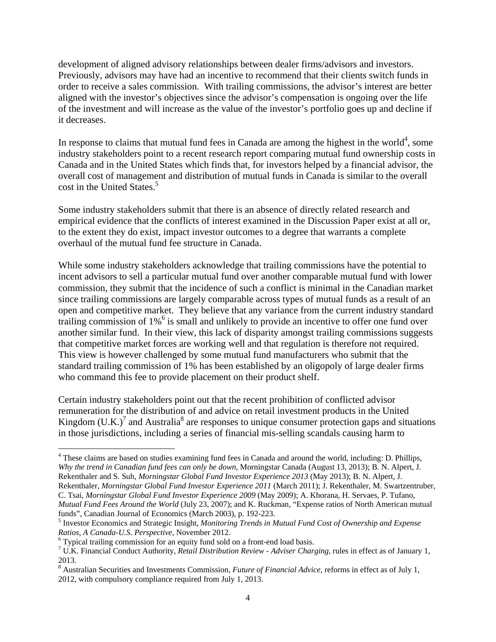development of aligned advisory relationships between dealer firms/advisors and investors. Previously, advisors may have had an incentive to recommend that their clients switch funds in order to receive a sales commission. With trailing commissions, the advisor's interest are better aligned with the investor's objectives since the advisor's compensation is ongoing over the life of the investment and will increase as the value of the investor's portfolio goes up and decline if it decreases.

In response to claims that mutual fund fees in Canada are among the highest in the world<sup>4</sup>, some industry stakeholders point to a recent research report comparing mutual fund ownership costs in Canada and in the United States which finds that, for investors helped by a financial advisor, the overall cost of management and distribution of mutual funds in Canada is similar to the overall cost in the United States.<sup>5</sup>

Some industry stakeholders submit that there is an absence of directly related research and empirical evidence that the conflicts of interest examined in the Discussion Paper exist at all or, to the extent they do exist, impact investor outcomes to a degree that warrants a complete overhaul of the mutual fund fee structure in Canada.

While some industry stakeholders acknowledge that trailing commissions have the potential to incent advisors to sell a particular mutual fund over another comparable mutual fund with lower commission, they submit that the incidence of such a conflict is minimal in the Canadian market since trailing commissions are largely comparable across types of mutual funds as a result of an open and competitive market. They believe that any variance from the current industry standard trailing commission of 1%<sup>6</sup> is small and unlikely to provide an incentive to offer one fund over another similar fund. In their view, this lack of disparity amongst trailing commissions suggests that competitive market forces are working well and that regulation is therefore not required. This view is however challenged by some mutual fund manufacturers who submit that the standard trailing commission of 1% has been established by an oligopoly of large dealer firms who command this fee to provide placement on their product shelf.

Certain industry stakeholders point out that the recent prohibition of conflicted advisor remuneration for the distribution of and advice on retail investment products in the United Kingdom  $(U.K.)^7$  and Australia<sup>8</sup> are responses to unique consumer protection gaps and situations in those jurisdictions, including a series of financial mis-selling scandals causing harm to

<sup>4</sup> These claims are based on studies examining fund fees in Canada and around the world, including: D. Phillips, *Why the trend in Canadian fund fees can only be down*, Morningstar Canada (August 13, 2013); B. N. Alpert, J. Rekenthaler and S. Suh, *Morningstar Global Fund Investor Experience 2013* (May 2013); B. N. Alpert, J. Rekenthaler, *Morningstar Global Fund Investor Experience 2011* (March 2011); J. Rekenthaler, M. Swartzentruber,

C. Tsai, *Morningstar Global Fund Investor Experience 2009* (May 2009); A. Khorana, H. Servaes, P. Tufano, *Mutual Fund Fees Around the World* (July 23, 2007); and K. Ruckman, "Expense ratios of North American mutual funds", Canadian Journal of Economics (March 2003), p. 192-223.

<sup>6</sup> Typical trailing commission for an equity fund sold on a front-end load basis.

<sup>5</sup> Investor Economics and Strategic Insight, *Monitoring Trends in Mutual Fund Cost of Ownership and Expense Ratios, A Canada-U.S. Perspective*, November 2012.

U.K. Financial Conduct Authority, *Retail Distribution Review - Adviser Charging*, rules in effect as of January 1, 2013.

<sup>&</sup>lt;sup>8</sup> Australian Securities and Investments Commission, *Future of Financial Advice*, reforms in effect as of July 1, 2012, with compulsory compliance required from July 1, 2013.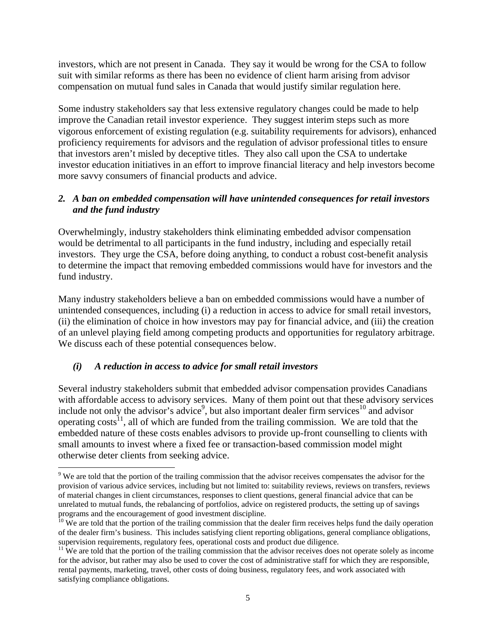investors, which are not present in Canada. They say it would be wrong for the CSA to follow suit with similar reforms as there has been no evidence of client harm arising from advisor compensation on mutual fund sales in Canada that would justify similar regulation here.

Some industry stakeholders say that less extensive regulatory changes could be made to help improve the Canadian retail investor experience. They suggest interim steps such as more vigorous enforcement of existing regulation (e.g. suitability requirements for advisors), enhanced proficiency requirements for advisors and the regulation of advisor professional titles to ensure that investors aren't misled by deceptive titles. They also call upon the CSA to undertake investor education initiatives in an effort to improve financial literacy and help investors become more savvy consumers of financial products and advice.

# *2. A ban on embedded compensation will have unintended consequences for retail investors and the fund industry*

Overwhelmingly, industry stakeholders think eliminating embedded advisor compensation would be detrimental to all participants in the fund industry, including and especially retail investors. They urge the CSA, before doing anything, to conduct a robust cost-benefit analysis to determine the impact that removing embedded commissions would have for investors and the fund industry.

Many industry stakeholders believe a ban on embedded commissions would have a number of unintended consequences, including (i) a reduction in access to advice for small retail investors, (ii) the elimination of choice in how investors may pay for financial advice, and (iii) the creation of an unlevel playing field among competing products and opportunities for regulatory arbitrage. We discuss each of these potential consequences below.

# *(i) A reduction in access to advice for small retail investors*

 $\overline{a}$ 

Several industry stakeholders submit that embedded advisor compensation provides Canadians with affordable access to advisory services. Many of them point out that these advisory services include not only the advisor's advice<sup>9</sup>, but also important dealer firm services<sup>10</sup> and advisor operating costs<sup>11</sup>, all of which are funded from the trailing commission. We are told that the embedded nature of these costs enables advisors to provide up-front counselling to clients with small amounts to invest where a fixed fee or transaction-based commission model might otherwise deter clients from seeking advice.

<sup>&</sup>lt;sup>9</sup> We are told that the portion of the trailing commission that the advisor receives compensates the advisor for the provision of various advice services, including but not limited to: suitability reviews, reviews on transfers, reviews of material changes in client circumstances, responses to client questions, general financial advice that can be unrelated to mutual funds, the rebalancing of portfolios, advice on registered products, the setting up of savings programs and the encouragement of good investment discipline.

 $10\,\text{We}$  are told that the portion of the trailing commission that the dealer firm receives helps fund the daily operation of the dealer firm's business. This includes satisfying client reporting obligations, general compliance obligations, supervision requirements, regulatory fees, operational costs and product due diligence.<br><sup>11</sup> We are told that the portion of the trailing commission that the advisor receives does not operate solely as income

for the advisor, but rather may also be used to cover the cost of administrative staff for which they are responsible, rental payments, marketing, travel, other costs of doing business, regulatory fees, and work associated with satisfying compliance obligations.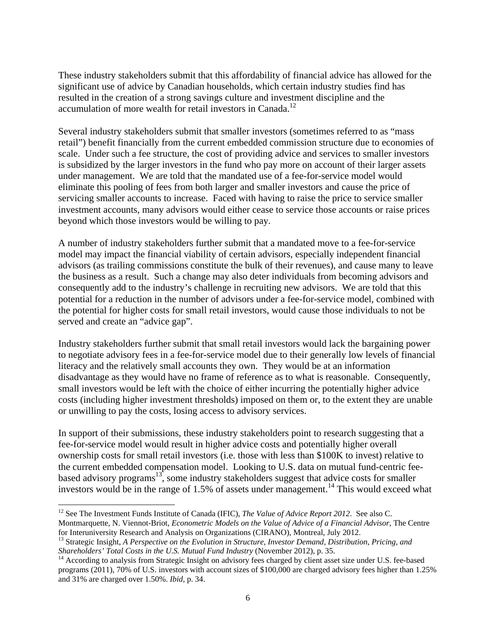These industry stakeholders submit that this affordability of financial advice has allowed for the significant use of advice by Canadian households, which certain industry studies find has resulted in the creation of a strong savings culture and investment discipline and the accumulation of more wealth for retail investors in Canada.<sup>12</sup>

Several industry stakeholders submit that smaller investors (sometimes referred to as "mass retail") benefit financially from the current embedded commission structure due to economies of scale. Under such a fee structure, the cost of providing advice and services to smaller investors is subsidized by the larger investors in the fund who pay more on account of their larger assets under management. We are told that the mandated use of a fee-for-service model would eliminate this pooling of fees from both larger and smaller investors and cause the price of servicing smaller accounts to increase. Faced with having to raise the price to service smaller investment accounts, many advisors would either cease to service those accounts or raise prices beyond which those investors would be willing to pay.

A number of industry stakeholders further submit that a mandated move to a fee-for-service model may impact the financial viability of certain advisors, especially independent financial advisors (as trailing commissions constitute the bulk of their revenues), and cause many to leave the business as a result. Such a change may also deter individuals from becoming advisors and consequently add to the industry's challenge in recruiting new advisors. We are told that this potential for a reduction in the number of advisors under a fee-for-service model, combined with the potential for higher costs for small retail investors, would cause those individuals to not be served and create an "advice gap".

Industry stakeholders further submit that small retail investors would lack the bargaining power to negotiate advisory fees in a fee-for-service model due to their generally low levels of financial literacy and the relatively small accounts they own. They would be at an information disadvantage as they would have no frame of reference as to what is reasonable. Consequently, small investors would be left with the choice of either incurring the potentially higher advice costs (including higher investment thresholds) imposed on them or, to the extent they are unable or unwilling to pay the costs, losing access to advisory services.

In support of their submissions, these industry stakeholders point to research suggesting that a fee-for-service model would result in higher advice costs and potentially higher overall ownership costs for small retail investors (i.e. those with less than \$100K to invest) relative to the current embedded compensation model. Looking to U.S. data on mutual fund-centric feebased advisory programs<sup>13</sup>, some industry stakeholders suggest that advice costs for smaller investors would be in the range of  $1.5\%$  of assets under management.<sup>14</sup> This would exceed what

<sup>&</sup>lt;sup>12</sup> See The Investment Funds Institute of Canada (IFIC), *The Value of Advice Report 2012*. See also C. Montmarquette, N. Viennot-Briot, *Econometric Models on the Value of Advice of a Financial Advisor*, The Centre for Interuniversity Research and Analysis on Organizations (CIRANO), Montreal, July 2012.

<sup>13</sup> Strategic Insight, *A Perspective on the Evolution in Structure, Investor Demand, Distribution, Pricing, and Shareholders' Total Costs in the U.S. Mutual Fund Industry* (November 2012), p. 35.<br><sup>14</sup> According to analysis from Strategic Insight on advisory fees charged by client asset size under U.S. fee-based

programs (2011), 70% of U.S. investors with account sizes of \$100,000 are charged advisory fees higher than 1.25% and 31% are charged over 1.50%. *Ibid*, p. 34.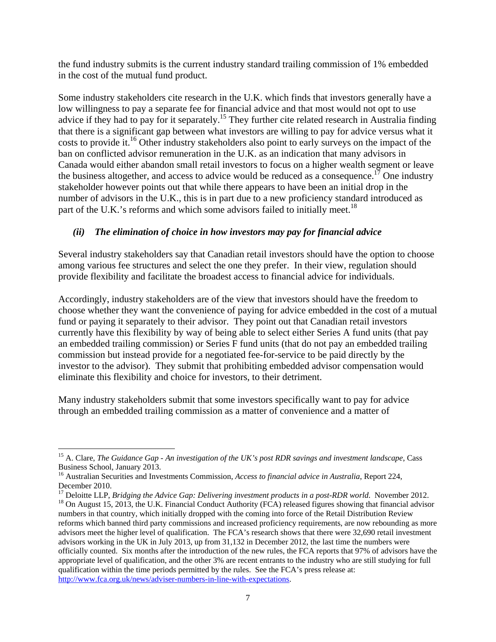the fund industry submits is the current industry standard trailing commission of 1% embedded in the cost of the mutual fund product.

Some industry stakeholders cite research in the U.K. which finds that investors generally have a low willingness to pay a separate fee for financial advice and that most would not opt to use advice if they had to pay for it separately.<sup>15</sup> They further cite related research in Australia finding that there is a significant gap between what investors are willing to pay for advice versus what it costs to provide it.<sup>16</sup> Other industry stakeholders also point to early surveys on the impact of the ban on conflicted advisor remuneration in the U.K. as an indication that many advisors in Canada would either abandon small retail investors to focus on a higher wealth segment or leave the business altogether, and access to advice would be reduced as a consequence.<sup>17</sup> One industry stakeholder however points out that while there appears to have been an initial drop in the number of advisors in the U.K., this is in part due to a new proficiency standard introduced as part of the U.K.'s reforms and which some advisors failed to initially meet.<sup>18</sup>

# *(ii) The elimination of choice in how investors may pay for financial advice*

Several industry stakeholders say that Canadian retail investors should have the option to choose among various fee structures and select the one they prefer. In their view, regulation should provide flexibility and facilitate the broadest access to financial advice for individuals.

Accordingly, industry stakeholders are of the view that investors should have the freedom to choose whether they want the convenience of paying for advice embedded in the cost of a mutual fund or paying it separately to their advisor. They point out that Canadian retail investors currently have this flexibility by way of being able to select either Series A fund units (that pay an embedded trailing commission) or Series F fund units (that do not pay an embedded trailing commission but instead provide for a negotiated fee-for-service to be paid directly by the investor to the advisor). They submit that prohibiting embedded advisor compensation would eliminate this flexibility and choice for investors, to their detriment.

Many industry stakeholders submit that some investors specifically want to pay for advice through an embedded trailing commission as a matter of convenience and a matter of

<sup>15</sup> A. Clare, *The Guidance Gap - An investigation of the UK's post RDR savings and investment landscape*, Cass Business School, January 2013.

<sup>16</sup> Australian Securities and Investments Commission, *Access to financial advice in Australia*, Report 224, December 2010.

<sup>&</sup>lt;sup>17</sup> Deloitte LLP, *Bridging the Advice Gap: Delivering investment products in a post-RDR world.* November 2012.<br><sup>18</sup> On August 15, 2013, the U.K. Financial Conduct Authority (FCA) released figures showing that financial numbers in that country, which initially dropped with the coming into force of the Retail Distribution Review reforms which banned third party commissions and increased proficiency requirements, are now rebounding as more advisors meet the higher level of qualification. The FCA's research shows that there were 32,690 retail investment advisors working in the UK in July 2013, up from 31,132 in December 2012, the last time the numbers were officially counted. Six months after the introduction of the new rules, the FCA reports that 97% of advisors have the appropriate level of qualification, and the other 3% are recent entrants to the industry who are still studying for full qualification within the time periods permitted by the rules. See the FCA's press release at: http://www.fca.org.uk/news/adviser-numbers-in-line-with-expectations.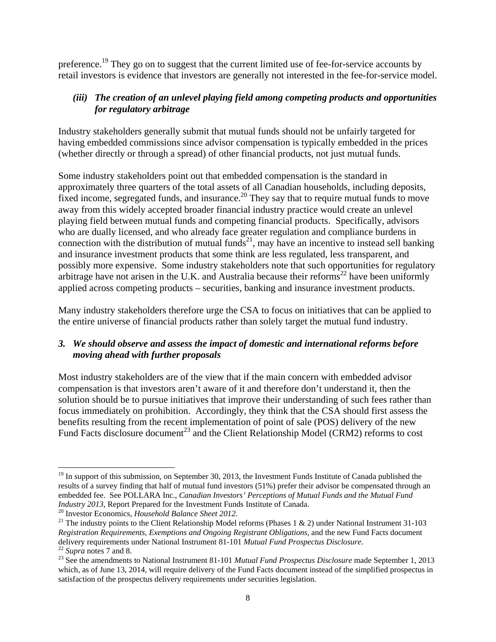preference.<sup>19</sup> They go on to suggest that the current limited use of fee-for-service accounts by retail investors is evidence that investors are generally not interested in the fee-for-service model.

# *(iii) The creation of an unlevel playing field among competing products and opportunities for regulatory arbitrage*

Industry stakeholders generally submit that mutual funds should not be unfairly targeted for having embedded commissions since advisor compensation is typically embedded in the prices (whether directly or through a spread) of other financial products, not just mutual funds.

Some industry stakeholders point out that embedded compensation is the standard in approximately three quarters of the total assets of all Canadian households, including deposits, fixed income, segregated funds, and insurance.<sup>20</sup> They say that to require mutual funds to move away from this widely accepted broader financial industry practice would create an unlevel playing field between mutual funds and competing financial products. Specifically, advisors who are dually licensed, and who already face greater regulation and compliance burdens in connection with the distribution of mutual funds<sup>21</sup>, may have an incentive to instead sell banking and insurance investment products that some think are less regulated, less transparent, and possibly more expensive. Some industry stakeholders note that such opportunities for regulatory arbitrage have not arisen in the U.K. and Australia because their reforms<sup>22</sup> have been uniformly applied across competing products – securities, banking and insurance investment products.

Many industry stakeholders therefore urge the CSA to focus on initiatives that can be applied to the entire universe of financial products rather than solely target the mutual fund industry.

# *3. We should observe and assess the impact of domestic and international reforms before moving ahead with further proposals*

Most industry stakeholders are of the view that if the main concern with embedded advisor compensation is that investors aren't aware of it and therefore don't understand it, then the solution should be to pursue initiatives that improve their understanding of such fees rather than focus immediately on prohibition. Accordingly, they think that the CSA should first assess the benefits resulting from the recent implementation of point of sale (POS) delivery of the new Fund Facts disclosure document<sup>23</sup> and the Client Relationship Model (CRM2) reforms to cost

 $\overline{a}$  $19$  In support of this submission, on September 30, 2013, the Investment Funds Institute of Canada published the results of a survey finding that half of mutual fund investors (51%) prefer their advisor be compensated through an embedded fee. See POLLARA Inc., *Canadian Investors' Perceptions of Mutual Funds and the Mutual Fund Industry 2013*, Report Prepared for the Investment Funds Institute of Canada.<br><sup>20</sup> Investor Economics, *Household Balance Sheet 2012*.<br><sup>21</sup> The industry points to the Client Relationship Model reforms (Phases 1 & 2) under

*Registration Requirements, Exemptions and Ongoing Registrant Obligations*, and the new Fund Facts document delivery requirements under National Instrument 81-101 *Mutual Fund Prospectus Disclosure*.<br><sup>22</sup> Supra notes 7 and 8.<br><sup>23</sup> See the amendments to National Instrument 81-101 *Mutual Fund Prospectus Disclosure* made September

which, as of June 13, 2014, will require delivery of the Fund Facts document instead of the simplified prospectus in satisfaction of the prospectus delivery requirements under securities legislation.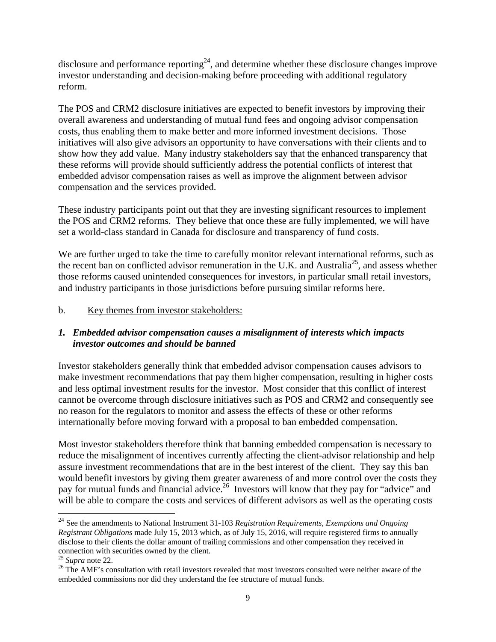disclosure and performance reporting<sup>24</sup>, and determine whether these disclosure changes improve investor understanding and decision-making before proceeding with additional regulatory reform.

The POS and CRM2 disclosure initiatives are expected to benefit investors by improving their overall awareness and understanding of mutual fund fees and ongoing advisor compensation costs, thus enabling them to make better and more informed investment decisions. Those initiatives will also give advisors an opportunity to have conversations with their clients and to show how they add value. Many industry stakeholders say that the enhanced transparency that these reforms will provide should sufficiently address the potential conflicts of interest that embedded advisor compensation raises as well as improve the alignment between advisor compensation and the services provided.

These industry participants point out that they are investing significant resources to implement the POS and CRM2 reforms. They believe that once these are fully implemented, we will have set a world-class standard in Canada for disclosure and transparency of fund costs.

We are further urged to take the time to carefully monitor relevant international reforms, such as the recent ban on conflicted advisor remuneration in the U.K. and Australia<sup>25</sup>, and assess whether those reforms caused unintended consequences for investors, in particular small retail investors, and industry participants in those jurisdictions before pursuing similar reforms here.

# b. Key themes from investor stakeholders:

# *1. Embedded advisor compensation causes a misalignment of interests which impacts investor outcomes and should be banned*

Investor stakeholders generally think that embedded advisor compensation causes advisors to make investment recommendations that pay them higher compensation, resulting in higher costs and less optimal investment results for the investor. Most consider that this conflict of interest cannot be overcome through disclosure initiatives such as POS and CRM2 and consequently see no reason for the regulators to monitor and assess the effects of these or other reforms internationally before moving forward with a proposal to ban embedded compensation.

Most investor stakeholders therefore think that banning embedded compensation is necessary to reduce the misalignment of incentives currently affecting the client-advisor relationship and help assure investment recommendations that are in the best interest of the client. They say this ban would benefit investors by giving them greater awareness of and more control over the costs they pay for mutual funds and financial advice.<sup>26</sup> Investors will know that they pay for "advice" and will be able to compare the costs and services of different advisors as well as the operating costs

<sup>24</sup> See the amendments to National Instrument 31-103 *Registration Requirements, Exemptions and Ongoing Registrant Obligations* made July 15, 2013 which, as of July 15, 2016, will require registered firms to annually disclose to their clients the dollar amount of trailing commissions and other compensation they received in connection with securities owned by the client.<br> $^{25}$  *Supra* note 22.

<sup>&</sup>lt;sup>26</sup> The AMF's consultation with retail investors revealed that most investors consulted were neither aware of the embedded commissions nor did they understand the fee structure of mutual funds.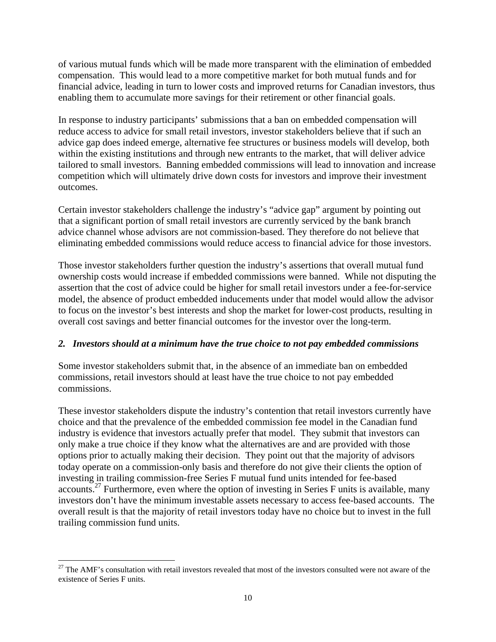of various mutual funds which will be made more transparent with the elimination of embedded compensation. This would lead to a more competitive market for both mutual funds and for financial advice, leading in turn to lower costs and improved returns for Canadian investors, thus enabling them to accumulate more savings for their retirement or other financial goals.

In response to industry participants' submissions that a ban on embedded compensation will reduce access to advice for small retail investors, investor stakeholders believe that if such an advice gap does indeed emerge, alternative fee structures or business models will develop, both within the existing institutions and through new entrants to the market, that will deliver advice tailored to small investors. Banning embedded commissions will lead to innovation and increase competition which will ultimately drive down costs for investors and improve their investment outcomes.

Certain investor stakeholders challenge the industry's "advice gap" argument by pointing out that a significant portion of small retail investors are currently serviced by the bank branch advice channel whose advisors are not commission-based. They therefore do not believe that eliminating embedded commissions would reduce access to financial advice for those investors.

Those investor stakeholders further question the industry's assertions that overall mutual fund ownership costs would increase if embedded commissions were banned. While not disputing the assertion that the cost of advice could be higher for small retail investors under a fee-for-service model, the absence of product embedded inducements under that model would allow the advisor to focus on the investor's best interests and shop the market for lower-cost products, resulting in overall cost savings and better financial outcomes for the investor over the long-term.

#### *2. Investors should at a minimum have the true choice to not pay embedded commissions*

Some investor stakeholders submit that, in the absence of an immediate ban on embedded commissions, retail investors should at least have the true choice to not pay embedded commissions.

These investor stakeholders dispute the industry's contention that retail investors currently have choice and that the prevalence of the embedded commission fee model in the Canadian fund industry is evidence that investors actually prefer that model. They submit that investors can only make a true choice if they know what the alternatives are and are provided with those options prior to actually making their decision. They point out that the majority of advisors today operate on a commission-only basis and therefore do not give their clients the option of investing in trailing commission-free Series F mutual fund units intended for fee-based accounts.<sup>27</sup> Furthermore, even where the option of investing in Series F units is available, many investors don't have the minimum investable assets necessary to access fee-based accounts. The overall result is that the majority of retail investors today have no choice but to invest in the full trailing commission fund units.

 $\overline{a}$  $27$  The AMF's consultation with retail investors revealed that most of the investors consulted were not aware of the existence of Series F units.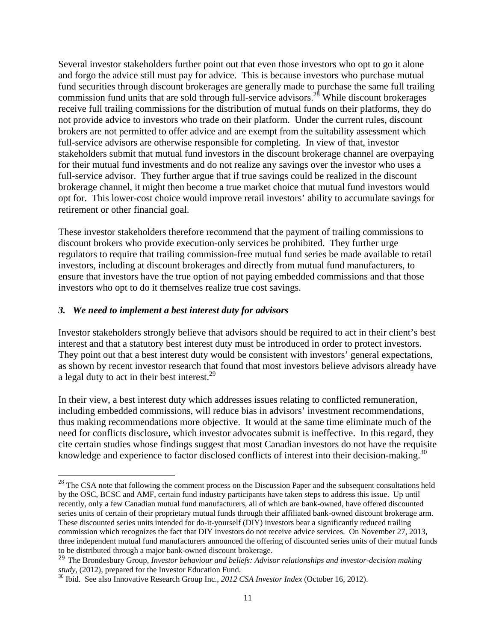Several investor stakeholders further point out that even those investors who opt to go it alone and forgo the advice still must pay for advice. This is because investors who purchase mutual fund securities through discount brokerages are generally made to purchase the same full trailing commission fund units that are sold through full-service advisors.28 While discount brokerages receive full trailing commissions for the distribution of mutual funds on their platforms, they do not provide advice to investors who trade on their platform. Under the current rules, discount brokers are not permitted to offer advice and are exempt from the suitability assessment which full-service advisors are otherwise responsible for completing. In view of that, investor stakeholders submit that mutual fund investors in the discount brokerage channel are overpaying for their mutual fund investments and do not realize any savings over the investor who uses a full-service advisor. They further argue that if true savings could be realized in the discount brokerage channel, it might then become a true market choice that mutual fund investors would opt for. This lower-cost choice would improve retail investors' ability to accumulate savings for retirement or other financial goal.

These investor stakeholders therefore recommend that the payment of trailing commissions to discount brokers who provide execution-only services be prohibited. They further urge regulators to require that trailing commission-free mutual fund series be made available to retail investors, including at discount brokerages and directly from mutual fund manufacturers, to ensure that investors have the true option of not paying embedded commissions and that those investors who opt to do it themselves realize true cost savings.

#### *3. We need to implement a best interest duty for advisors*

 $\overline{a}$ 

Investor stakeholders strongly believe that advisors should be required to act in their client's best interest and that a statutory best interest duty must be introduced in order to protect investors. They point out that a best interest duty would be consistent with investors' general expectations, as shown by recent investor research that found that most investors believe advisors already have a legal duty to act in their best interest.<sup>29</sup>

In their view, a best interest duty which addresses issues relating to conflicted remuneration, including embedded commissions, will reduce bias in advisors' investment recommendations, thus making recommendations more objective. It would at the same time eliminate much of the need for conflicts disclosure, which investor advocates submit is ineffective. In this regard, they cite certain studies whose findings suggest that most Canadian investors do not have the requisite knowledge and experience to factor disclosed conflicts of interest into their decision-making.<sup>30</sup>

 $^{28}$  The CSA note that following the comment process on the Discussion Paper and the subsequent consultations held by the OSC, BCSC and AMF, certain fund industry participants have taken steps to address this issue. Up until recently, only a few Canadian mutual fund manufacturers, all of which are bank-owned, have offered discounted series units of certain of their proprietary mutual funds through their affiliated bank-owned discount brokerage arm. These discounted series units intended for do-it-yourself (DIY) investors bear a significantly reduced trailing commission which recognizes the fact that DIY investors do not receive advice services. On November 27, 2013, three independent mutual fund manufacturers announced the offering of discounted series units of their mutual funds to be distributed through a major bank-owned discount brokerage.

<sup>&</sup>lt;sup>29</sup> The Brondesbury Group, *Investor behaviour and beliefs: Advisor relationships and investor-decision making study*, (2012), prepared for the Investor Education Fund.

<sup>&</sup>lt;sup>30</sup> Ibid. See also Innovative Research Group Inc., *2012 CSA Investor Index* (October 16, 2012).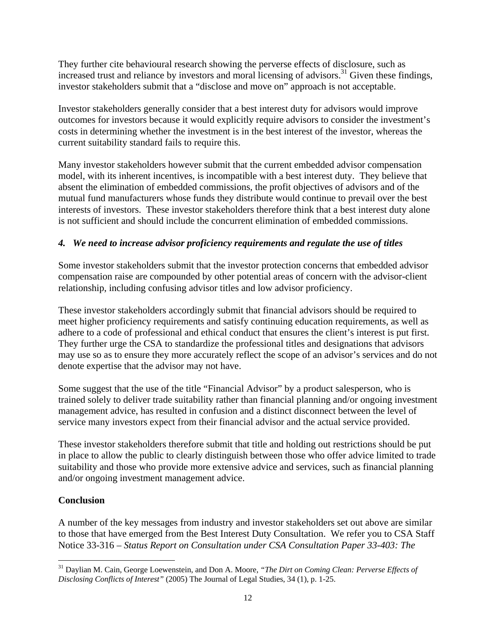They further cite behavioural research showing the perverse effects of disclosure, such as increased trust and reliance by investors and moral licensing of advisors.<sup>31</sup> Given these findings, investor stakeholders submit that a "disclose and move on" approach is not acceptable.

Investor stakeholders generally consider that a best interest duty for advisors would improve outcomes for investors because it would explicitly require advisors to consider the investment's costs in determining whether the investment is in the best interest of the investor, whereas the current suitability standard fails to require this.

Many investor stakeholders however submit that the current embedded advisor compensation model, with its inherent incentives, is incompatible with a best interest duty. They believe that absent the elimination of embedded commissions, the profit objectives of advisors and of the mutual fund manufacturers whose funds they distribute would continue to prevail over the best interests of investors. These investor stakeholders therefore think that a best interest duty alone is not sufficient and should include the concurrent elimination of embedded commissions.

# *4. We need to increase advisor proficiency requirements and regulate the use of titles*

Some investor stakeholders submit that the investor protection concerns that embedded advisor compensation raise are compounded by other potential areas of concern with the advisor-client relationship, including confusing advisor titles and low advisor proficiency.

These investor stakeholders accordingly submit that financial advisors should be required to meet higher proficiency requirements and satisfy continuing education requirements, as well as adhere to a code of professional and ethical conduct that ensures the client's interest is put first. They further urge the CSA to standardize the professional titles and designations that advisors may use so as to ensure they more accurately reflect the scope of an advisor's services and do not denote expertise that the advisor may not have.

Some suggest that the use of the title "Financial Advisor" by a product salesperson, who is trained solely to deliver trade suitability rather than financial planning and/or ongoing investment management advice, has resulted in confusion and a distinct disconnect between the level of service many investors expect from their financial advisor and the actual service provided.

These investor stakeholders therefore submit that title and holding out restrictions should be put in place to allow the public to clearly distinguish between those who offer advice limited to trade suitability and those who provide more extensive advice and services, such as financial planning and/or ongoing investment management advice.

# **Conclusion**

A number of the key messages from industry and investor stakeholders set out above are similar to those that have emerged from the Best Interest Duty Consultation. We refer you to CSA Staff Notice 33-316 – *Status Report on Consultation under CSA Consultation Paper 33-403: The* 

 $\overline{a}$ 31 Daylian M. Cain, George Loewenstein, and Don A. Moore, *"The Dirt on Coming Clean: Perverse Effects of Disclosing Conflicts of Interest"* (2005) The Journal of Legal Studies, 34 (1), p. 1-25.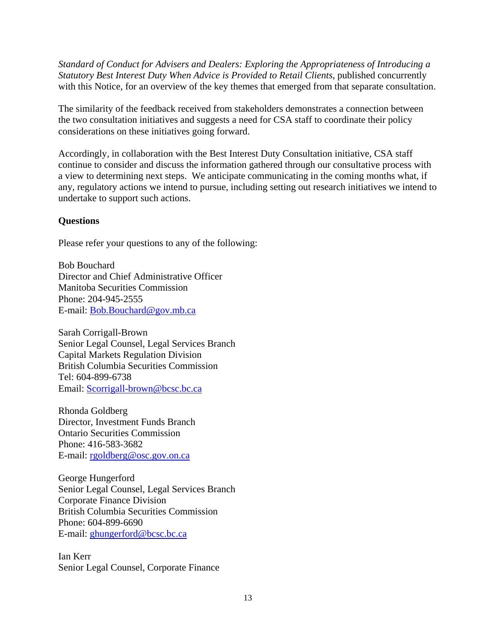*Standard of Conduct for Advisers and Dealers: Exploring the Appropriateness of Introducing a Statutory Best Interest Duty When Advice is Provided to Retail Clients*, published concurrently with this Notice, for an overview of the key themes that emerged from that separate consultation.

The similarity of the feedback received from stakeholders demonstrates a connection between the two consultation initiatives and suggests a need for CSA staff to coordinate their policy considerations on these initiatives going forward.

Accordingly, in collaboration with the Best Interest Duty Consultation initiative, CSA staff continue to consider and discuss the information gathered through our consultative process with a view to determining next steps. We anticipate communicating in the coming months what, if any, regulatory actions we intend to pursue, including setting out research initiatives we intend to undertake to support such actions.

# **Questions**

Please refer your questions to any of the following:

Bob Bouchard Director and Chief Administrative Officer Manitoba Securities Commission Phone: 204-945-2555 E-mail: Bob.Bouchard@gov.mb.ca

Sarah Corrigall-Brown Senior Legal Counsel, Legal Services Branch Capital Markets Regulation Division British Columbia Securities Commission Tel: 604-899-6738 Email: Scorrigall-brown@bcsc.bc.ca

Rhonda Goldberg Director, Investment Funds Branch Ontario Securities Commission Phone: 416-583-3682 E-mail: rgoldberg@osc.gov.on.ca

George Hungerford Senior Legal Counsel, Legal Services Branch Corporate Finance Division British Columbia Securities Commission Phone: 604-899-6690 E-mail: ghungerford@bcsc.bc.ca

Ian Kerr Senior Legal Counsel, Corporate Finance